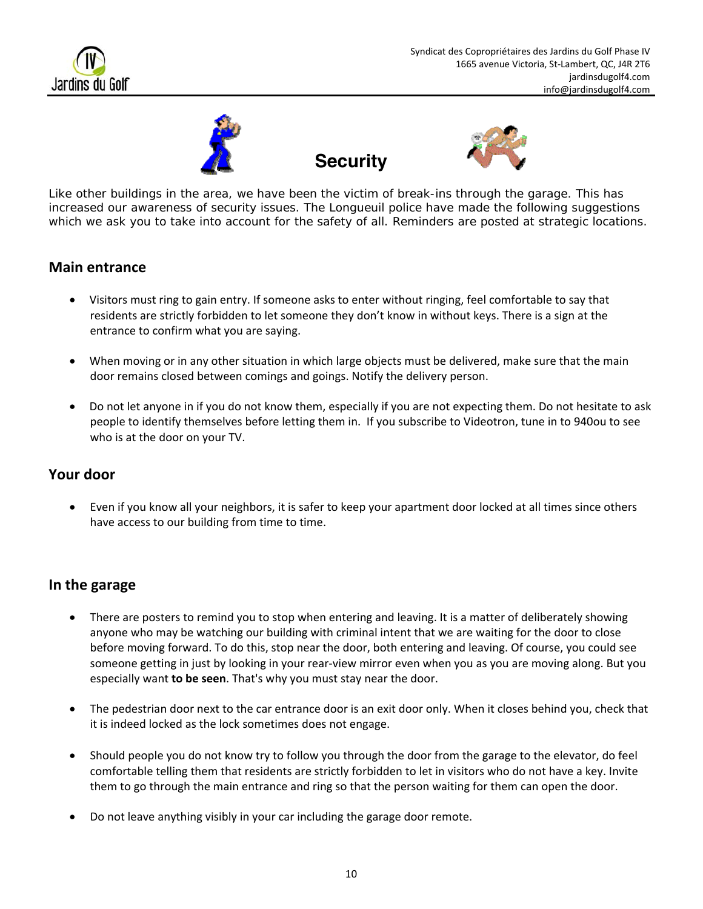







Like other buildings in the area, we have been the victim of break-ins through the garage. This has increased our awareness of security issues. The Longueuil police have made the following suggestions which we ask you to take into account for the safety of all. Reminders are posted at strategic locations.

### **Main entrance**

- Visitors must ring to gain entry. If someone asks to enter without ringing, feel comfortable to say that residents are strictly forbidden to let someone they don't know in without keys. There is a sign at the entrance to confirm what you are saying.
- When moving or in any other situation in which large objects must be delivered, make sure that the main door remains closed between comings and goings. Notify the delivery person.
- Do not let anyone in if you do not know them, especially if you are not expecting them. Do not hesitate to ask people to identify themselves before letting them in. If you subscribe to Videotron, tune in to 940ou to see who is at the door on your TV.

### **Your door**

 Even if you know all your neighbors, it is safer to keep your apartment door locked at all times since others have access to our building from time to time.

### **In the garage**

- There are posters to remind you to stop when entering and leaving. It is a matter of deliberately showing anyone who may be watching our building with criminal intent that we are waiting for the door to close before moving forward. To do this, stop near the door, both entering and leaving. Of course, you could see someone getting in just by looking in your rear-view mirror even when you as you are moving along. But you especially want **to be seen**. That's why you must stay near the door.
- The pedestrian door next to the car entrance door is an exit door only. When it closes behind you, check that it is indeed locked as the lock sometimes does not engage.
- Should people you do not know try to follow you through the door from the garage to the elevator, do feel comfortable telling them that residents are strictly forbidden to let in visitors who do not have a key. Invite them to go through the main entrance and ring so that the person waiting for them can open the door.
- Do not leave anything visibly in your car including the garage door remote.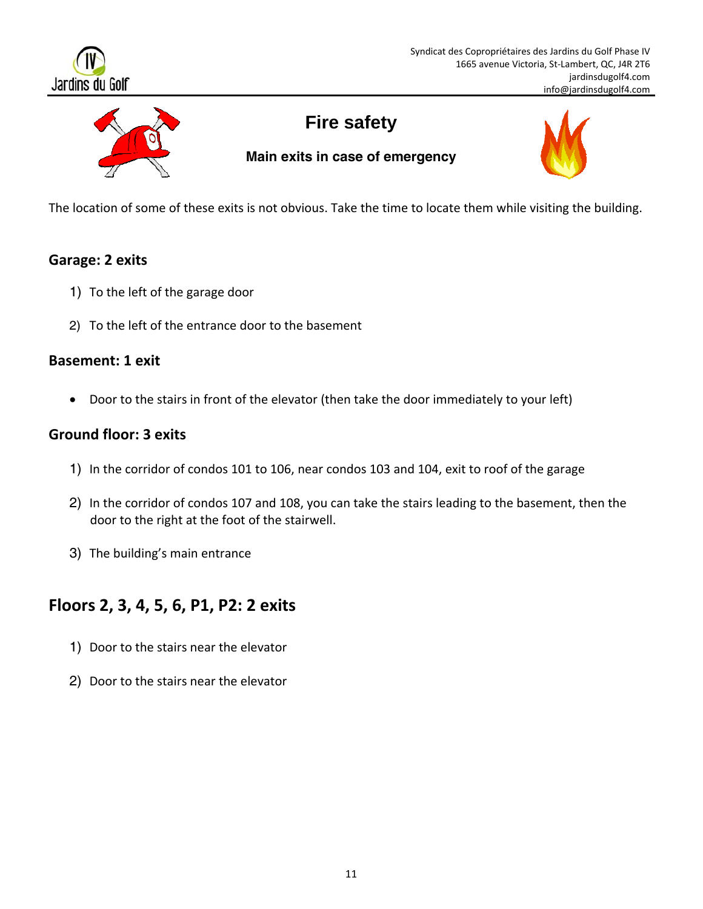



# **Fire safety**

**Main exits in case of emergency** 



The location of some of these exits is not obvious. Take the time to locate them while visiting the building.

## **Garage: 2 exits**

- 1) To the left of the garage door
- 2) To the left of the entrance door to the basement

#### **Basement: 1 exit**

Door to the stairs in front of the elevator (then take the door immediately to your left)

### **Ground floor: 3 exits**

- 1) In the corridor of condos 101 to 106, near condos 103 and 104, exit to roof of the garage
- 2) In the corridor of condos 107 and 108, you can take the stairs leading to the basement, then the door to the right at the foot of the stairwell.
- 3) The building's main entrance

## **Floors 2, 3, 4, 5, 6, P1, P2: 2 exits**

- 1) Door to the stairs near the elevator
- 2) Door to the stairs near the elevator